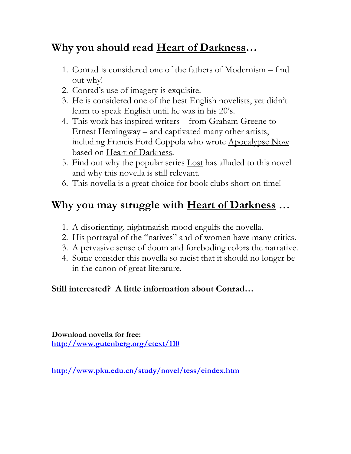# Why you should read Heart of Darkness...

- 1. Conrad is considered one of the fathers of Modernism find out why!
- 2. Conrad's use of imagery is exquisite.
- 3. He is considered one of the best English novelists, yet didn't learn to speak English until he was in his 20's.
- 4. This work has inspired writers from Graham Greene to Ernest Hemingway – and captivated many other artists, including Francis Ford Coppola who wrote Apocalypse Now based on Heart of Darkness.
- 5. Find out why the popular series Lost has alluded to this novel and why this novella is still relevant.
- 6. This novella is a great choice for book clubs short on time!

# Why you may struggle with <u>Heart of Darkness</u> ...

- 1. A disorienting, nightmarish mood engulfs the novella.
- 2. His portrayal of the "natives" and of women have many critics.
- 3. A pervasive sense of doom and foreboding colors the narrative.
- 4. Some consider this novella so racist that it should no longer be in the canon of great literature.

### Still interested? A little information about Conrad…

Download novella for free: http://www.gutenberg.org/etext/110

http://www.pku.edu.cn/study/novel/tess/eindex.htm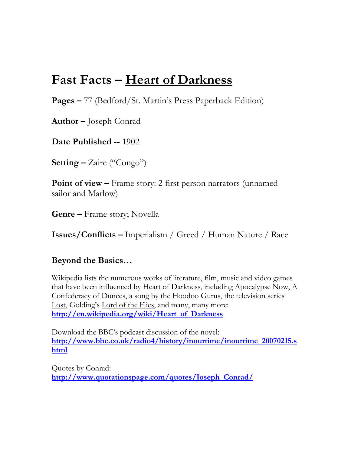# Fast Facts – Heart of Darkness

Pages – 77 (Bedford/St. Martin's Press Paperback Edition)

Author – Joseph Conrad

Date Published -- 1902

Setting – Zaire ("Congo")

Point of view – Frame story: 2 first person narrators (unnamed sailor and Marlow)

Genre – Frame story; Novella

Issues/Conflicts – Imperialism / Greed / Human Nature / Race

### Beyond the Basics…

Wikipedia lists the numerous works of literature, film, music and video games that have been influenced by Heart of Darkness, including Apocalypse Now, A Confederacy of Dunces, a song by the Hoodoo Gurus, the television series Lost, Golding's Lord of the Flies, and many, many more: http://en.wikipedia.org/wiki/Heart\_of\_Darkness

Download the BBC's podcast discussion of the novel: http://www.bbc.co.uk/radio4/history/inourtime/inourtime\_20070215.s html

Quotes by Conrad: http://www.quotationspage.com/quotes/Joseph\_Conrad/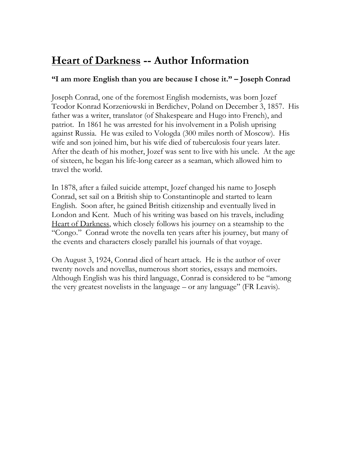## **Heart of Darkness -- Author Information**

### "I am more English than you are because I chose it." – Joseph Conrad

Joseph Conrad, one of the foremost English modernists, was born Jozef Teodor Konrad Korzeniowski in Berdichev, Poland on December 3, 1857. His father was a writer, translator (of Shakespeare and Hugo into French), and patriot. In 1861 he was arrested for his involvement in a Polish uprising against Russia. He was exiled to Vologda (300 miles north of Moscow). His wife and son joined him, but his wife died of tuberculosis four years later. After the death of his mother, Jozef was sent to live with his uncle. At the age of sixteen, he began his life-long career as a seaman, which allowed him to travel the world.

In 1878, after a failed suicide attempt, Jozef changed his name to Joseph Conrad, set sail on a British ship to Constantinople and started to learn English. Soon after, he gained British citizenship and eventually lived in London and Kent. Much of his writing was based on his travels, including Heart of Darkness, which closely follows his journey on a steamship to the "Congo." Conrad wrote the novella ten years after his journey, but many of the events and characters closely parallel his journals of that voyage.

On August 3, 1924, Conrad died of heart attack. He is the author of over twenty novels and novellas, numerous short stories, essays and memoirs. Although English was his third language, Conrad is considered to be "among the very greatest novelists in the language – or any language" (FR Leavis).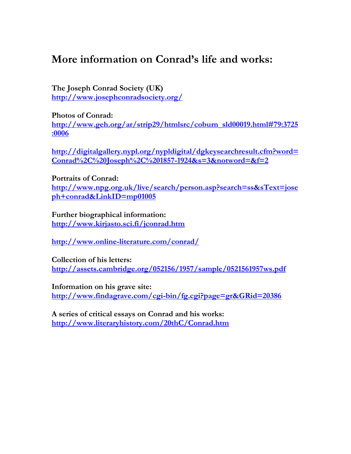### More information on Conrad's life and works:

The Joseph Conrad Society (UK) http://www.josephconradsociety.org/

Photos of Conrad:

http://www.geh.org/ar/strip29/htmlsrc/coburn\_sld00019.html#79:3725 :0006

http://digitalgallery.nypl.org/nypldigital/dgkeysearchresult.cfm?word=  $Conrad\%2C\%20Joseph\%2C\%201857-1924&s=3&notword=&f=2$ 

#### Portraits of Conrad:

http://www.npg.org.uk/live/search/person.asp?search=ss&sText=jose ph+conrad&LinkID=mp01005

Further biographical information: http://www.kirjasto.sci.fi/jconrad.htm

http://www.online-literature.com/conrad/

Collection of his letters: http://assets.cambridge.org/052156/1957/sample/0521561957ws.pdf

Information on his grave site: http://www.findagrave.com/cgi-bin/fg.cgi?page=gr&GRid=20386

A series of critical essays on Conrad and his works: http://www.literaryhistory.com/20thC/Conrad.htm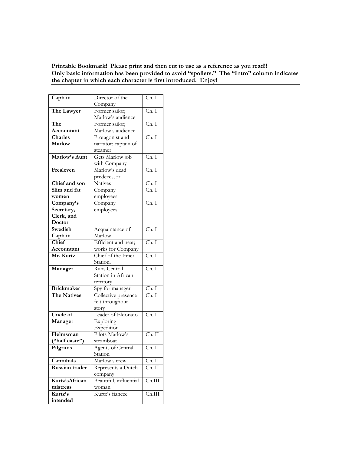Printable Bookmark! Please print and then cut to use as a reference as you read!! Only basic information has been provided to avoid "spoilers." The "Intro" column indicates the chapter in which each character is first introduced. Enjoy!

| Captain            | Director of the        | Ch. I                     |
|--------------------|------------------------|---------------------------|
|                    | Company                |                           |
| The Lawyer         | Former sailor;         | Ch. I                     |
|                    | Marlow's audience      |                           |
| The                | Former sailor;         | Ch. I                     |
| Accountant         | Marlow's audience      |                           |
| Charles            | Protagonist and        | Ch. I                     |
| Marlow             | narrator; captain of   |                           |
|                    | steamer                |                           |
| Marlow's Aunt      | Gets Marlow job        | Ch. I                     |
|                    | with Company           |                           |
| Fresleven          | Marlow's dead          | Ch. I                     |
|                    | predecessor            |                           |
| Chief and son      | Natives                | $\overline{C}$ h. I       |
| Slim and fat       | Company                | $\overline{\text{Ch. I}}$ |
| women              | employees              |                           |
| Company's          | Company                | Ch. I                     |
| Secretary,         | employees              |                           |
| Clerk, and         |                        |                           |
| Doctor             |                        |                           |
| Swedish            | Acquaintance of        | $\overline{\text{Ch. I}}$ |
| Captain            | Marlow                 |                           |
| Chief              | Efficient and neat;    | $\overline{\text{Ch. I}}$ |
| Accountant         | works for Company      |                           |
| Mr. Kurtz          | Chief of the Inner     | Ch. I                     |
|                    | Station.               |                           |
| Manager            | Runs Central           | $\overline{\text{Ch. I}}$ |
|                    | Station in African     |                           |
|                    | territory              |                           |
| <b>Brickmaker</b>  | Spy for manager        | Ch. I                     |
| <b>The Natives</b> | Collective presence    | Ch. I                     |
|                    | felt throughout        |                           |
|                    | story                  |                           |
| Uncle of           | Leader of Eldorado     | $\overline{Ch. I}$        |
| Manager            | Exploring              |                           |
|                    | Expedition             |                           |
| Helmsman           | Pilots Marlow's        | $Ch.$ II                  |
| ("half caste")     | steamboat              |                           |
| Pilgrims           | Agents of Central      | Ch. II                    |
|                    | Station                |                           |
| Cannibals          | Marlow's crew          | Ch. II                    |
| Russian trader     | Represents a Dutch     | Ch. II                    |
|                    | company                |                           |
| Kurtz'sAfrican     | Beautiful, influential | Ch.III                    |
| mistress           | woman                  |                           |
| Kurtz's            | Kurtz's fiancee        | Ch.III                    |
| intended           |                        |                           |
|                    |                        |                           |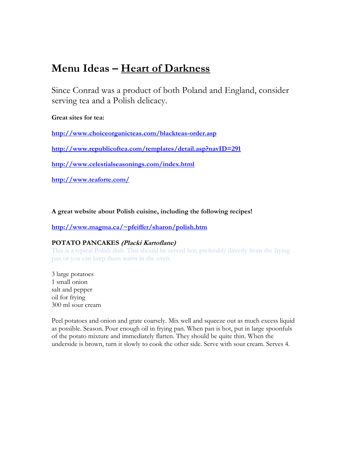## Menu Ideas – Heart of Darkness

Since Conrad was a product of both Poland and England, consider serving tea and a Polish delicacy.

#### Great sites for tea:

http://www.choiceorganicteas.com/blackteas-order.asp

http://www.republicoftea.com/templates/detail.asp?navID=291

http://www.celestialseasonings.com/index.html

http://www.teaforte.com/

A great website about Polish cuisine, including the following recipes!

#### http://www.magma.ca/~pfeiffer/sharon/polish.htm

#### POTATO PANCAKES (Placki Kartoflane)

This is a typical Polish dish. This should be served hot, preferably directly from the frying pan or you can keep them warm in the oven.

3 large potatoes 1 small onion salt and pepper oil for frying 300 ml sour cream

Peel potatoes and onion and grate coarsely. Mix well and squeeze out as much excess liquid as possible. Season. Pour enough oil in frying pan. When pan is hot, put in large spoonfuls of the potato mixture and immediately flatten. They should be quite thin. When the underside is brown, turn it slowly to cook the other side. Serve with sour cream. Serves 4.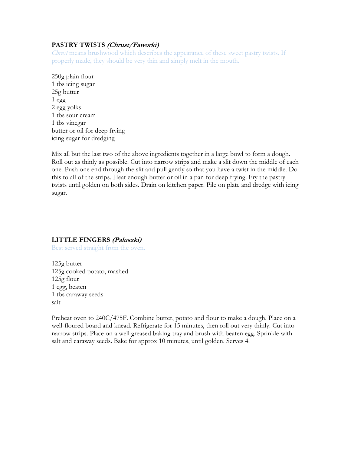#### PASTRY TWISTS (Chrust/Faworki)

Chrust means brushwood which describes the appearance of these sweet pastry twists. If properly made, they should be very thin and simply melt in the mouth.

250g plain flour 1 tbs icing sugar 25g butter 1 egg 2 egg yolks 1 tbs sour cream 1 tbs vinegar butter or oil for deep frying icing sugar for dredging

Mix all but the last two of the above ingredients together in a large bowl to form a dough. Roll out as thinly as possible. Cut into narrow strips and make a slit down the middle of each one. Push one end through the slit and pull gently so that you have a twist in the middle. Do this to all of the strips. Heat enough butter or oil in a pan for deep frying. Fry the pastry twists until golden on both sides. Drain on kitchen paper. Pile on plate and dredge with icing sugar.

#### LITTLE FINGERS (Paluszki)

Best served straight from the oven.

125g butter 125g cooked potato, mashed 125g flour 1 egg, beaten 1 tbs caraway seeds salt

Preheat oven to 240C/475F. Combine butter, potato and flour to make a dough. Place on a well-floured board and knead. Refrigerate for 15 minutes, then roll out very thinly. Cut into narrow strips. Place on a well greased baking tray and brush with beaten egg. Sprinkle with salt and caraway seeds. Bake for approx 10 minutes, until golden. Serves 4.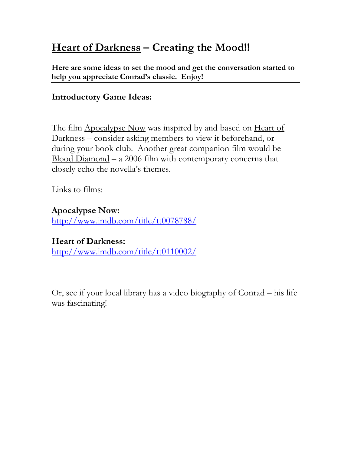# Heart of Darkness – Creating the Mood!!

Here are some ideas to set the mood and get the conversation started to help you appreciate Conrad's classic. Enjoy!

### Introductory Game Ideas:

The film Apocalypse Now was inspired by and based on Heart of Darkness – consider asking members to view it beforehand, or during your book club. Another great companion film would be Blood Diamond – a 2006 film with contemporary concerns that closely echo the novella's themes.

Links to films:

Apocalypse Now: http://www.imdb.com/title/tt0078788/

Heart of Darkness: http://www.imdb.com/title/tt0110002/

Or, see if your local library has a video biography of Conrad – his life was fascinating!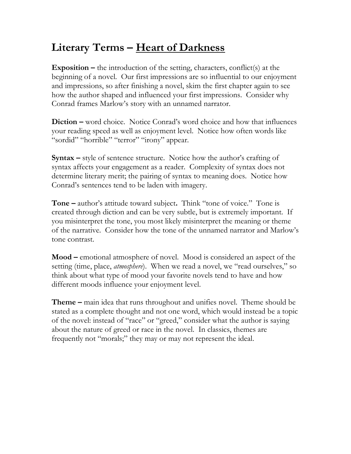# Literary Terms - Heart of Darkness

**Exposition –** the introduction of the setting, characters, conflict(s) at the beginning of a novel. Our first impressions are so influential to our enjoyment and impressions, so after finishing a novel, skim the first chapter again to see how the author shaped and influenced your first impressions. Consider why Conrad frames Marlow's story with an unnamed narrator.

Diction – word choice. Notice Conrad's word choice and how that influences your reading speed as well as enjoyment level. Notice how often words like "sordid" "horrible" "terror" "irony" appear.

Syntax – style of sentence structure. Notice how the author's crafting of syntax affects your engagement as a reader. Complexity of syntax does not determine literary merit; the pairing of syntax to meaning does. Notice how Conrad's sentences tend to be laden with imagery.

Tone – author's attitude toward subject. Think "tone of voice." Tone is created through diction and can be very subtle, but is extremely important. If you misinterpret the tone, you most likely misinterpret the meaning or theme of the narrative. Consider how the tone of the unnamed narrator and Marlow's tone contrast.

Mood – emotional atmosphere of novel. Mood is considered an aspect of the setting (time, place, *atmosphere*). When we read a novel, we "read ourselves," so think about what type of mood your favorite novels tend to have and how different moods influence your enjoyment level.

**Theme –** main idea that runs throughout and unifies novel. Theme should be stated as a complete thought and not one word, which would instead be a topic of the novel: instead of "race" or "greed," consider what the author is saying about the nature of greed or race in the novel. In classics, themes are frequently not "morals;" they may or may not represent the ideal.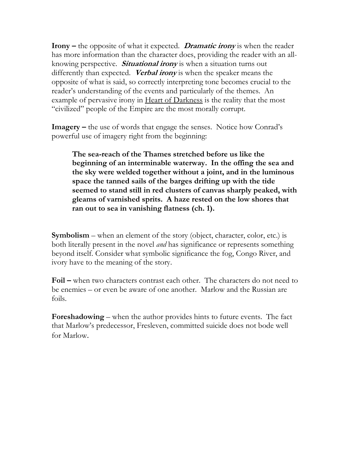**Irony** – the opposite of what it expected. **Dramatic irony** is when the reader has more information than the character does, providing the reader with an allknowing perspective. **Situational irony** is when a situation turns out differently than expected. Verbal irony is when the speaker means the opposite of what is said, so correctly interpreting tone becomes crucial to the reader's understanding of the events and particularly of the themes. An example of pervasive irony in Heart of Darkness is the reality that the most "civilized" people of the Empire are the most morally corrupt.

Imagery – the use of words that engage the senses. Notice how Conrad's powerful use of imagery right from the beginning:

The sea-reach of the Thames stretched before us like the beginning of an interminable waterway. In the offing the sea and the sky were welded together without a joint, and in the luminous space the tanned sails of the barges drifting up with the tide seemed to stand still in red clusters of canvas sharply peaked, with gleams of varnished sprits. A haze rested on the low shores that ran out to sea in vanishing flatness (ch. 1).

Symbolism – when an element of the story (object, character, color, etc.) is both literally present in the novel *and* has significance or represents something beyond itself. Consider what symbolic significance the fog, Congo River, and ivory have to the meaning of the story.

Foil – when two characters contrast each other. The characters do not need to be enemies – or even be aware of one another. Marlow and the Russian are foils.

Foreshadowing – when the author provides hints to future events. The fact that Marlow's predecessor, Fresleven, committed suicide does not bode well for Marlow.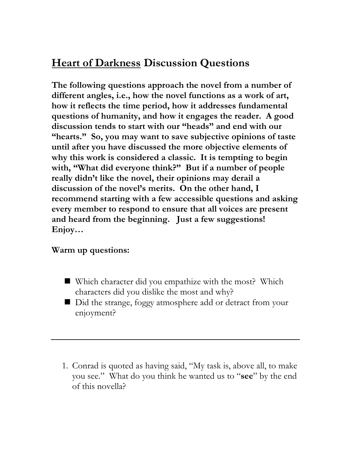# Heart of Darkness Discussion Questions

The following questions approach the novel from a number of different angles, i.e., how the novel functions as a work of art, how it reflects the time period, how it addresses fundamental questions of humanity, and how it engages the reader. A good discussion tends to start with our "heads" and end with our "hearts." So, you may want to save subjective opinions of taste until after you have discussed the more objective elements of why this work is considered a classic. It is tempting to begin with, "What did everyone think?" But if a number of people really didn't like the novel, their opinions may derail a discussion of the novel's merits. On the other hand, I recommend starting with a few accessible questions and asking every member to respond to ensure that all voices are present and heard from the beginning. Just a few suggestions! Enjoy…

### Warm up questions:

- Which character did you empathize with the most? Which characters did you dislike the most and why?
- Did the strange, foggy atmosphere add or detract from your enjoyment?
- 1. Conrad is quoted as having said, "My task is, above all, to make you see." What do you think he wanted us to "see" by the end of this novella?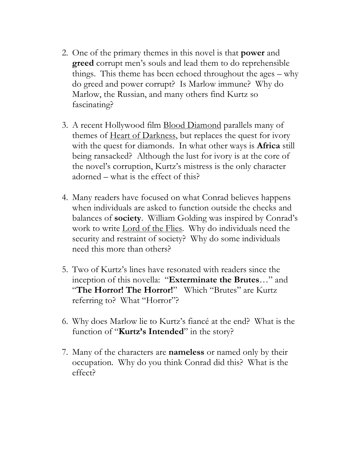- 2. One of the primary themes in this novel is that power and **greed** corrupt men's souls and lead them to do reprehensible things. This theme has been echoed throughout the ages – why do greed and power corrupt? Is Marlow immune? Why do Marlow, the Russian, and many others find Kurtz so fascinating?
- 3. A recent Hollywood film Blood Diamond parallels many of themes of <u>Heart of Darkness</u>, but replaces the quest for ivory with the quest for diamonds. In what other ways is **Africa** still being ransacked? Although the lust for ivory is at the core of the novel's corruption, Kurtz's mistress is the only character adorned – what is the effect of this?
- 4. Many readers have focused on what Conrad believes happens when individuals are asked to function outside the checks and balances of society. William Golding was inspired by Conrad's work to write Lord of the Flies. Why do individuals need the security and restraint of society? Why do some individuals need this more than others?
- 5. Two of Kurtz's lines have resonated with readers since the inception of this novella: "Exterminate the Brutes…" and "The Horror! The Horror!" Which "Brutes" are Kurtz referring to? What "Horror"?
- 6. Why does Marlow lie to Kurtz's fiancé at the end? What is the function of "**Kurtz's Intended**" in the story?
- 7. Many of the characters are **nameless** or named only by their occupation. Why do you think Conrad did this? What is the effect?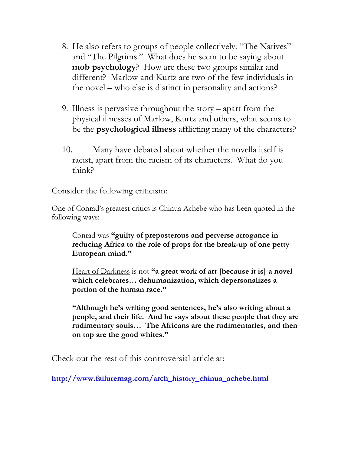- 8. He also refers to groups of people collectively: "The Natives" and "The Pilgrims." What does he seem to be saying about mob psychology? How are these two groups similar and different? Marlow and Kurtz are two of the few individuals in the novel – who else is distinct in personality and actions?
- 9. Illness is pervasive throughout the story apart from the physical illnesses of Marlow, Kurtz and others, what seems to be the psychological illness afflicting many of the characters?
- 10. Many have debated about whether the novella itself is racist, apart from the racism of its characters. What do you think?

Consider the following criticism:

One of Conrad's greatest critics is Chinua Achebe who has been quoted in the following ways:

Conrad was "guilty of preposterous and perverse arrogance in reducing Africa to the role of props for the break-up of one petty European mind."

Heart of Darkness is not "a great work of art [because it is] a novel which celebrates… dehumanization, which depersonalizes a portion of the human race."

"Although he's writing good sentences, he's also writing about a people, and their life. And he says about these people that they are rudimentary souls… The Africans are the rudimentaries, and then on top are the good whites."

Check out the rest of this controversial article at:

http://www.failuremag.com/arch\_history\_chinua\_achebe.html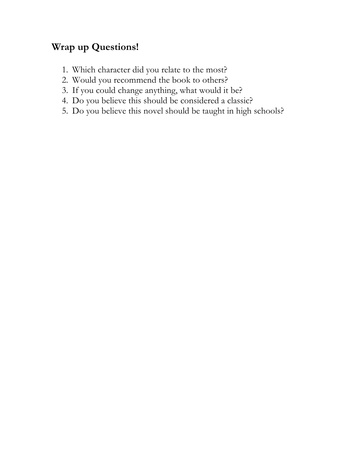## Wrap up Questions!

- 1. Which character did you relate to the most?
- 2. Would you recommend the book to others?
- 3. If you could change anything, what would it be?
- 4. Do you believe this should be considered a classic?
- 5. Do you believe this novel should be taught in high schools?